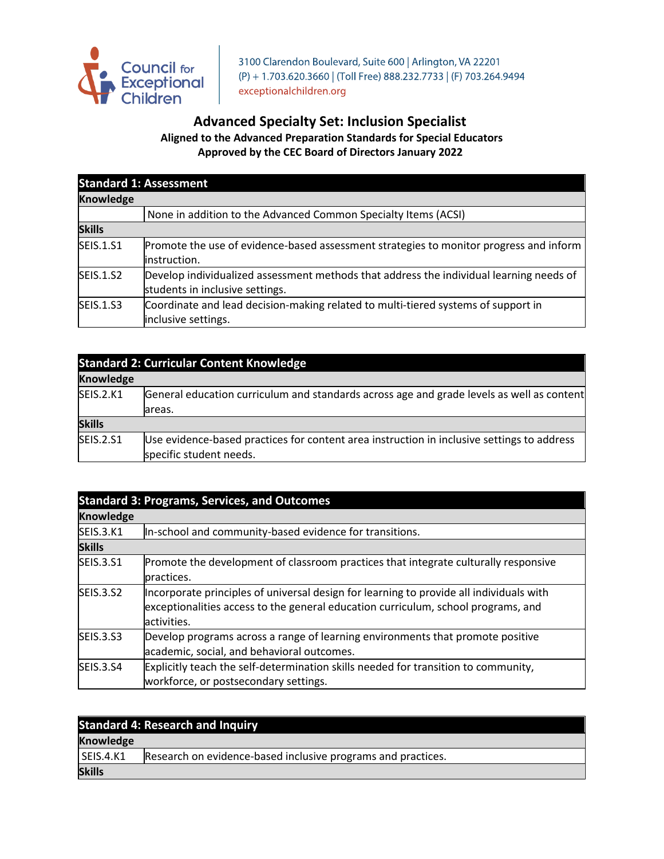

3100 Clarendon Boulevard, Suite 600 | Arlington, VA 22201 (P) + 1.703.620.3660 | (Toll Free) 888.232.7733 | (F) 703.264.9494 exceptionalchildren.org

## **Advanced Specialty Set: Inclusion Specialist Aligned to the Advanced Preparation Standards for Special Educators Approved by the CEC Board of Directors January 2022**

| <b>Standard 1: Assessment</b> |                                                                                                                            |
|-------------------------------|----------------------------------------------------------------------------------------------------------------------------|
| <b>Knowledge</b>              |                                                                                                                            |
|                               | None in addition to the Advanced Common Specialty Items (ACSI)                                                             |
| <b>Skills</b>                 |                                                                                                                            |
| <b>SEIS.1.S1</b>              | Promote the use of evidence-based assessment strategies to monitor progress and inform<br>linstruction.                    |
| <b>SEIS.1.S2</b>              | Develop individualized assessment methods that address the individual learning needs of<br>students in inclusive settings. |
| <b>SEIS.1.S3</b>              | Coordinate and lead decision-making related to multi-tiered systems of support in<br>inclusive settings.                   |

| <b>Standard 2: Curricular Content Knowledge</b> |                                                                                                                       |
|-------------------------------------------------|-----------------------------------------------------------------------------------------------------------------------|
| <b>Knowledge</b>                                |                                                                                                                       |
| <b>SEIS.2.K1</b>                                | General education curriculum and standards across age and grade levels as well as content<br>areas.                   |
| <b>Skills</b>                                   |                                                                                                                       |
| <b>SEIS.2.S1</b>                                | Use evidence-based practices for content area instruction in inclusive settings to address<br>specific student needs. |

| <b>Standard 3: Programs, Services, and Outcomes</b><br><b>Knowledge</b> |                                                                                                                                                                                             |
|-------------------------------------------------------------------------|---------------------------------------------------------------------------------------------------------------------------------------------------------------------------------------------|
|                                                                         |                                                                                                                                                                                             |
| <b>Skills</b>                                                           |                                                                                                                                                                                             |
| <b>SEIS.3.S1</b>                                                        | Promote the development of classroom practices that integrate culturally responsive<br>practices.                                                                                           |
| <b>SEIS.3.S2</b>                                                        | Incorporate principles of universal design for learning to provide all individuals with<br>exceptionalities access to the general education curriculum, school programs, and<br>activities. |
| <b>SEIS.3.S3</b>                                                        | Develop programs across a range of learning environments that promote positive<br>academic, social, and behavioral outcomes.                                                                |
| <b>SEIS.3.S4</b>                                                        | Explicitly teach the self-determination skills needed for transition to community,<br>workforce, or postsecondary settings.                                                                 |

| <b>Standard 4: Research and Inquiry</b> |                                                              |
|-----------------------------------------|--------------------------------------------------------------|
| Knowledge                               |                                                              |
| SEIS.4.K1                               | Research on evidence-based inclusive programs and practices. |
| <b>Skills</b>                           |                                                              |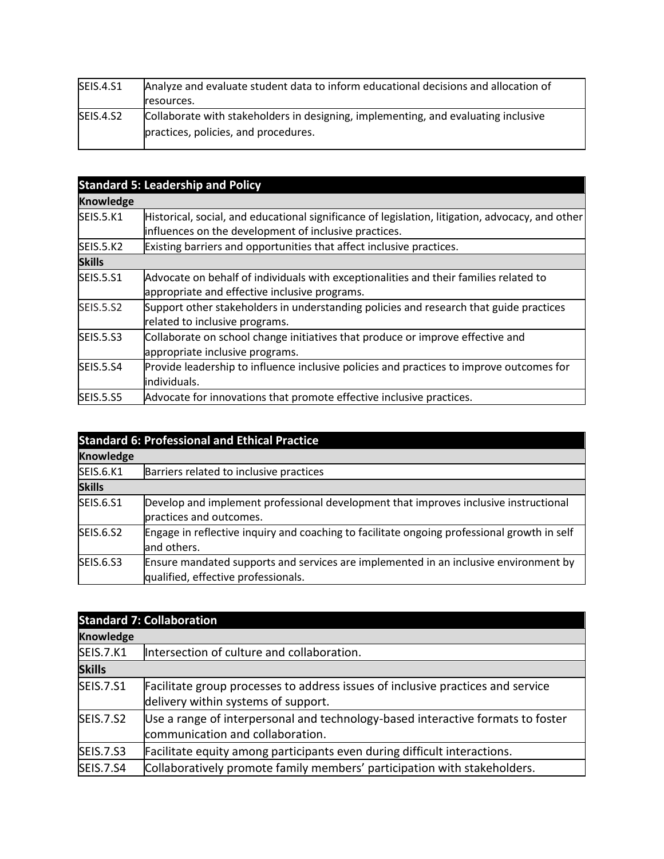| SEIS.4.S1 | Analyze and evaluate student data to inform educational decisions and allocation of |
|-----------|-------------------------------------------------------------------------------------|
|           | resources.                                                                          |
| SEIS.4.S2 | Collaborate with stakeholders in designing, implementing, and evaluating inclusive  |
|           | practices, policies, and procedures.                                                |

| <b>Standard 5: Leadership and Policy</b> |                                                                                                  |
|------------------------------------------|--------------------------------------------------------------------------------------------------|
| <b>Knowledge</b>                         |                                                                                                  |
| <b>SEIS.5.K1</b>                         | Historical, social, and educational significance of legislation, litigation, advocacy, and other |
|                                          | influences on the development of inclusive practices.                                            |
| <b>SEIS.5.K2</b>                         | Existing barriers and opportunities that affect inclusive practices.                             |
| <b>Skills</b>                            |                                                                                                  |
| <b>SEIS.5.S1</b>                         | Advocate on behalf of individuals with exceptionalities and their families related to            |
|                                          | appropriate and effective inclusive programs.                                                    |
| <b>SEIS.5.S2</b>                         | Support other stakeholders in understanding policies and research that guide practices           |
|                                          | related to inclusive programs.                                                                   |
| <b>SEIS.5.S3</b>                         | Collaborate on school change initiatives that produce or improve effective and                   |
|                                          | appropriate inclusive programs.                                                                  |
| <b>SEIS.5.S4</b>                         | Provide leadership to influence inclusive policies and practices to improve outcomes for         |
|                                          | individuals.                                                                                     |
| <b>SEIS.5.S5</b>                         | Advocate for innovations that promote effective inclusive practices.                             |

| <b>Standard 6: Professional and Ethical Practice</b> |                                                                                                                             |
|------------------------------------------------------|-----------------------------------------------------------------------------------------------------------------------------|
| <b>Knowledge</b>                                     |                                                                                                                             |
| <b>SEIS.6.K1</b>                                     | Barriers related to inclusive practices                                                                                     |
| <b>Skills</b>                                        |                                                                                                                             |
| <b>SEIS.6.S1</b>                                     | Develop and implement professional development that improves inclusive instructional<br>practices and outcomes.             |
| <b>SEIS.6.S2</b>                                     | Engage in reflective inquiry and coaching to facilitate ongoing professional growth in self<br>and others.                  |
| <b>SEIS.6.S3</b>                                     | Ensure mandated supports and services are implemented in an inclusive environment by<br>qualified, effective professionals. |

| <b>Standard 7: Collaboration</b> |                                                                                 |
|----------------------------------|---------------------------------------------------------------------------------|
| <b>Knowledge</b>                 |                                                                                 |
| <b>SEIS.7.K1</b>                 | Intersection of culture and collaboration.                                      |
| <b>Skills</b>                    |                                                                                 |
| <b>SEIS.7.S1</b>                 | Facilitate group processes to address issues of inclusive practices and service |
|                                  | delivery within systems of support.                                             |
| <b>SEIS.7.S2</b>                 | Use a range of interpersonal and technology-based interactive formats to foster |
|                                  | communication and collaboration.                                                |
| <b>SEIS.7.S3</b>                 | Facilitate equity among participants even during difficult interactions.        |
| <b>SEIS.7.S4</b>                 | Collaboratively promote family members' participation with stakeholders.        |